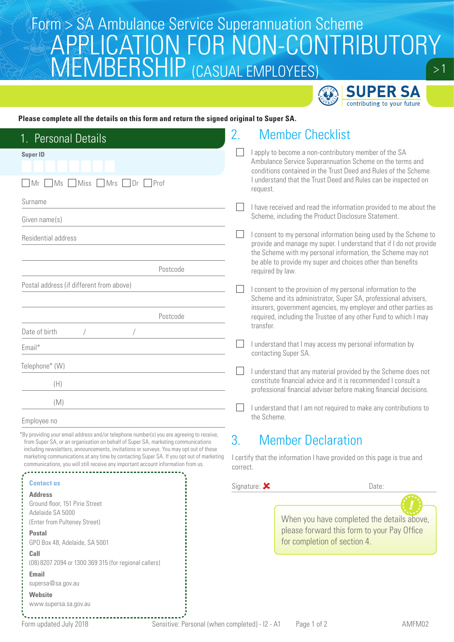## Form > SA Ambulance Service Superannuation Scheme<br>ALA DDU IO ATIONI FOD NIONI CONITOIDI ITOD  $> 1$ APPLICATION FOR NON-CONTRIBUTORY MEMBERSHIP (CASUAL EMPLOYEES)



## **Please complete all the details on this form and return the signed original to Super SA.**

| 1. Personal Details                                                                                                                                                                                                                                                     | <b>Member Checklist</b><br>2.                                                                                                                                                                                                                                                                                                                                                                                                                                                                                                                                     |  |  |
|-------------------------------------------------------------------------------------------------------------------------------------------------------------------------------------------------------------------------------------------------------------------------|-------------------------------------------------------------------------------------------------------------------------------------------------------------------------------------------------------------------------------------------------------------------------------------------------------------------------------------------------------------------------------------------------------------------------------------------------------------------------------------------------------------------------------------------------------------------|--|--|
| <b>Super ID</b>                                                                                                                                                                                                                                                         | I apply to become a non-contributory member of the SA<br>Ambulance Service Superannuation Scheme on the terms and<br>conditions contained in the Trust Deed and Rules of the Scheme.                                                                                                                                                                                                                                                                                                                                                                              |  |  |
| Miss<br>$\blacksquare$ Mrs<br>$ $ Prof<br>MS<br>Dr<br>1Mr                                                                                                                                                                                                               | I understand that the Trust Deed and Rules can be inspected on<br>request.                                                                                                                                                                                                                                                                                                                                                                                                                                                                                        |  |  |
| Surname                                                                                                                                                                                                                                                                 | I have received and read the information provided to me about the                                                                                                                                                                                                                                                                                                                                                                                                                                                                                                 |  |  |
| Given name(s)                                                                                                                                                                                                                                                           | Scheme, including the Product Disclosure Statement.                                                                                                                                                                                                                                                                                                                                                                                                                                                                                                               |  |  |
| Residential address                                                                                                                                                                                                                                                     | I consent to my personal information being used by the Scheme to<br>provide and manage my super. I understand that if I do not provide<br>the Scheme with my personal information, the Scheme may not<br>be able to provide my super and choices other than benefits<br>required by law.<br>I consent to the provision of my personal information to the<br>Scheme and its administrator, Super SA, professional advisers,<br>insurers, government agencies, my employer and other parties as<br>required, including the Trustee of any other Fund to which I may |  |  |
| Postcode                                                                                                                                                                                                                                                                |                                                                                                                                                                                                                                                                                                                                                                                                                                                                                                                                                                   |  |  |
| Postal address (if different from above)                                                                                                                                                                                                                                |                                                                                                                                                                                                                                                                                                                                                                                                                                                                                                                                                                   |  |  |
| Postcode                                                                                                                                                                                                                                                                |                                                                                                                                                                                                                                                                                                                                                                                                                                                                                                                                                                   |  |  |
| Date of birth                                                                                                                                                                                                                                                           | transfer.                                                                                                                                                                                                                                                                                                                                                                                                                                                                                                                                                         |  |  |
| Email*                                                                                                                                                                                                                                                                  | I understand that I may access my personal information by<br>contacting Super SA.                                                                                                                                                                                                                                                                                                                                                                                                                                                                                 |  |  |
| Telephone* (W)                                                                                                                                                                                                                                                          | I understand that any material provided by the Scheme does not                                                                                                                                                                                                                                                                                                                                                                                                                                                                                                    |  |  |
| (H)                                                                                                                                                                                                                                                                     | constitute financial advice and it is recommended I consult a<br>professional financial adviser before making financial decisions.                                                                                                                                                                                                                                                                                                                                                                                                                                |  |  |
| (M)                                                                                                                                                                                                                                                                     | I understand that I am not required to make any contributions to                                                                                                                                                                                                                                                                                                                                                                                                                                                                                                  |  |  |
| Employee no                                                                                                                                                                                                                                                             | the Scheme.                                                                                                                                                                                                                                                                                                                                                                                                                                                                                                                                                       |  |  |
| 'By providing your email address and/or telephone number(s) you are agreeing to receive,<br>from Super SA, or an organisation on behalf of Super SA, marketing communications<br>including newsletters, announcements, invitations or surveys. You may opt out of these | <b>Member Declaration</b><br>3.                                                                                                                                                                                                                                                                                                                                                                                                                                                                                                                                   |  |  |
| marketing communications at any time by contacting Super SA. If you opt out of marketing<br>communications, you will still receive any important account information from us.                                                                                           | I certify that the information I have provided on this page is true and<br>correct.                                                                                                                                                                                                                                                                                                                                                                                                                                                                               |  |  |
| <b>Contact us</b>                                                                                                                                                                                                                                                       | Signature:<br>Date:                                                                                                                                                                                                                                                                                                                                                                                                                                                                                                                                               |  |  |
| <b>Address</b><br>Ground floor, 151 Pirie Street<br>Adelaide SA 5000<br>(Enter from Pulteney Street)                                                                                                                                                                    | When you have completed the details above,                                                                                                                                                                                                                                                                                                                                                                                                                                                                                                                        |  |  |
| <b>Postal</b><br>GPO Box 48, Adelaide, SA 5001                                                                                                                                                                                                                          | for completion of section 4.                                                                                                                                                                                                                                                                                                                                                                                                                                                                                                                                      |  |  |
| Call<br>(08) 8207 2094 or 1300 369 315 (for regional callers)                                                                                                                                                                                                           |                                                                                                                                                                                                                                                                                                                                                                                                                                                                                                                                                                   |  |  |
| supersa@sa.gov.au                                                                                                                                                                                                                                                       |                                                                                                                                                                                                                                                                                                                                                                                                                                                                                                                                                                   |  |  |
| Website<br>www.supersa.sa.gov.au                                                                                                                                                                                                                                        |                                                                                                                                                                                                                                                                                                                                                                                                                                                                                                                                                                   |  |  |
| Email                                                                                                                                                                                                                                                                   | please forward this form to your Pay Office                                                                                                                                                                                                                                                                                                                                                                                                                                                                                                                       |  |  |